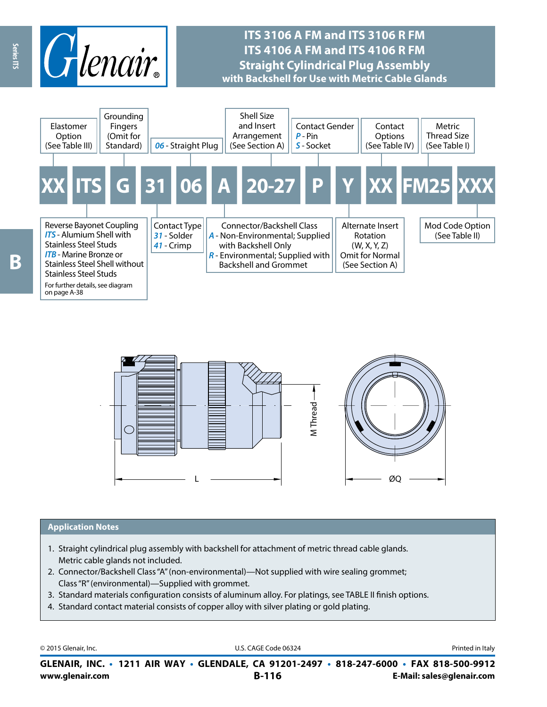

## **ITS 3106 A FM and ITS 3106 R FM ITS 4106 A FM and ITS 4106 R FM Straight Cylindrical Plug Assembly with Backshell for Use with Metric Cable Glands**





#### **Application Notes**

- 1. Straight cylindrical plug assembly with backshell for attachment of metric thread cable glands. Metric cable glands not included.
- 2. Connector/Backshell Class "A" (non-environmental)—Not supplied with wire sealing grommet; Class "R" (environmental)—Supplied with grommet.
- 3. Standard materials configuration consists of aluminum alloy. For platings, see TABLE II finish options.
- 4. Standard contact material consists of copper alloy with silver plating or gold plating.

© 2015 Glenair, Inc. **Discription Construction Construction Construction Construction Construction Construction Construction Construction Construction Construction Construction Construction Construction Construction Constr** 

**www.glenair.com B-116 E-Mail: sales@glenair.com GLENAIR, INC. • 1211 AIR WAY • GLENDALE, CA 91201-2497 • 818-247-6000 • FAX 818-500-9912**